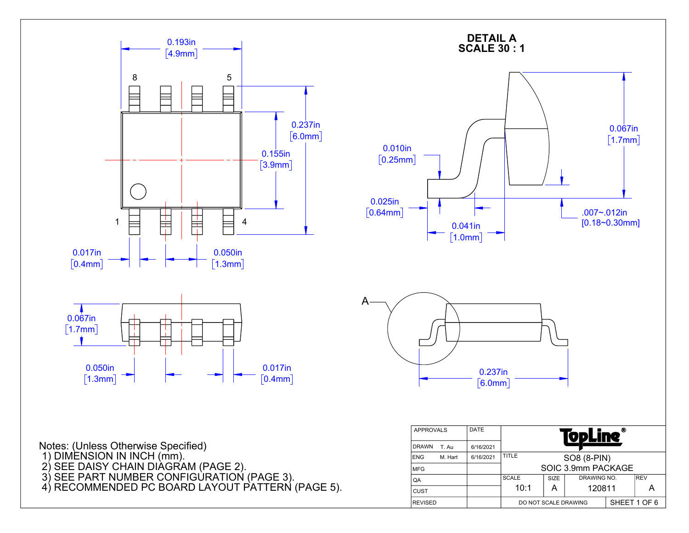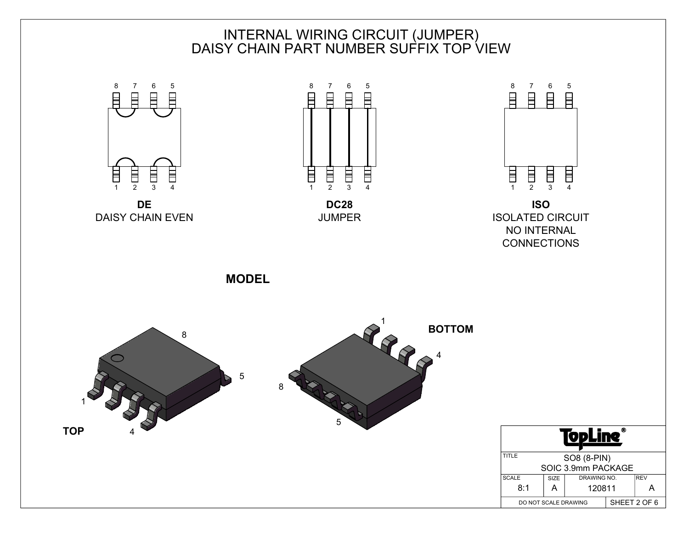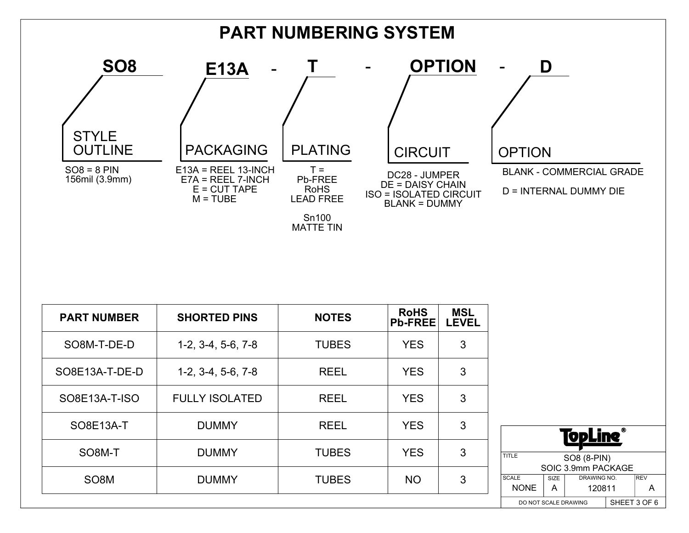

| <b>PART NUMBER</b> | <b>SHORTED PINS</b>   | <b>NOTES</b> | <b>RoHS</b><br><b>Pb-FREE</b> | <b>MSL</b><br><b>LEVEL</b> |
|--------------------|-----------------------|--------------|-------------------------------|----------------------------|
| SO8M-T-DE-D        | $1-2, 3-4, 5-6, 7-8$  | <b>TUBES</b> | <b>YES</b>                    | 3                          |
| SO8E13A-T-DE-D     | $1-2, 3-4, 5-6, 7-8$  | <b>REEL</b>  | <b>YES</b>                    | 3                          |
| SO8E13A-T-ISO      | <b>FULLY ISOLATED</b> | <b>REEL</b>  | <b>YES</b>                    | 3                          |
| SO8E13A-T          | <b>DUMMY</b>          | <b>REEL</b>  | <b>YES</b>                    | 3                          |
| SO8M-T             | <b>DUMMY</b>          | <b>TUBES</b> | <b>YES</b>                    | 3                          |
| SO <sub>8</sub> M  | <b>DUMMY</b>          | <b>TUBES</b> | <b>NO</b>                     | 3                          |

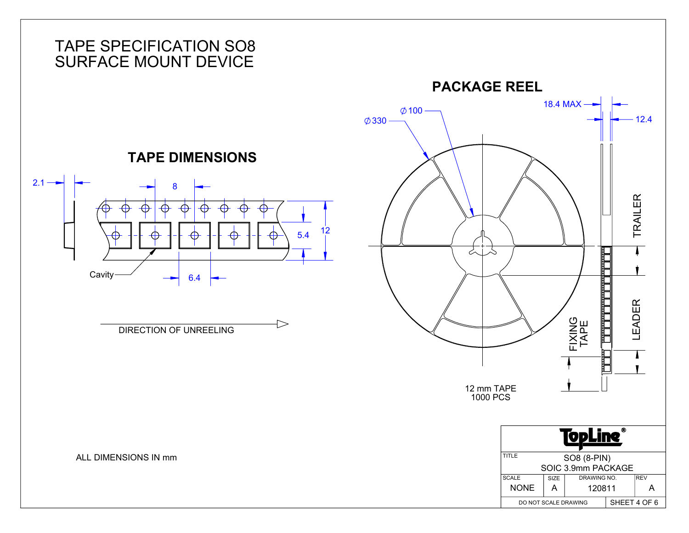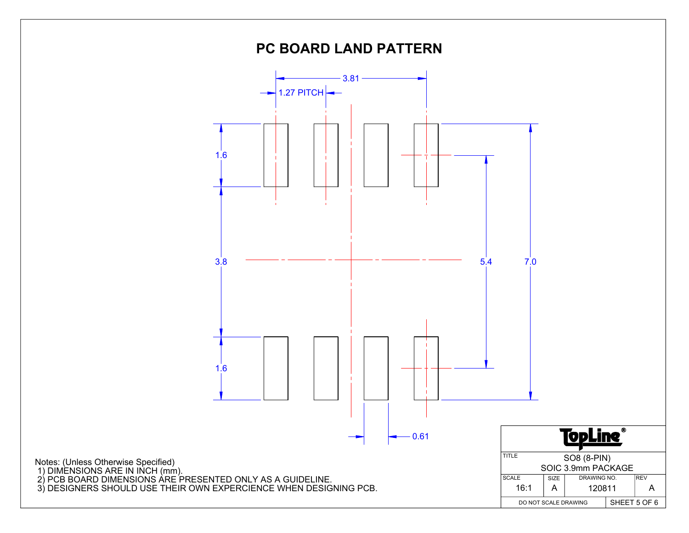